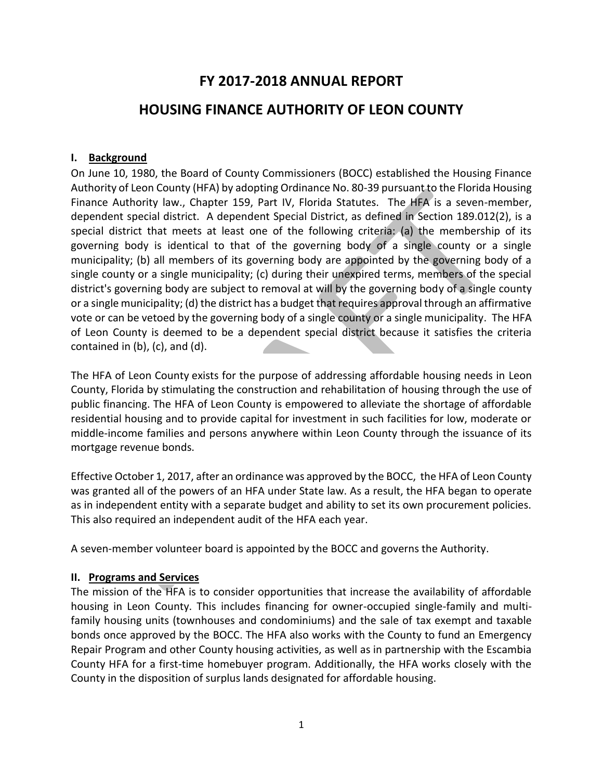# **FY 2017-2018 ANNUAL REPORT**

# **HOUSING FINANCE AUTHORITY OF LEON COUNTY**

#### **I. Background**

On June 10, 1980, the Board of County Commissioners (BOCC) established the Housing Finance Authority of Leon County (HFA) by adopting Ordinance No. 80-39 pursuant to the Florida Housing Finance Authority law., Chapter 159, Part IV, Florida Statutes. The HFA is a seven-member, dependent special district. A dependent Special District, as defined in Section 189.012(2), is a special district that meets at least one of the following criteria: (a) the membership of its governing body is identical to that of the governing body of a single county or a single municipality; (b) all members of its governing body are appointed by the governing body of a single county or a single municipality; (c) during their unexpired terms, members of the special district's governing body are subject to removal at will by the governing body of a single county or a single municipality; (d) the district has a budget that requires approval through an affirmative vote or can be vetoed by the governing body of a single county or a single municipality. The HFA of Leon County is deemed to be a dependent special district because it satisfies the criteria contained in (b), (c), and (d).

The HFA of Leon County exists for the purpose of addressing affordable housing needs in Leon County, Florida by stimulating the construction and rehabilitation of housing through the use of public financing. The HFA of Leon County is empowered to alleviate the shortage of affordable residential housing and to provide capital for investment in such facilities for low, moderate or middle-income families and persons anywhere within Leon County through the issuance of its mortgage revenue bonds.

Effective October 1, 2017, after an ordinance was approved by the BOCC, the HFA of Leon County was granted all of the powers of an HFA under State law. As a result, the HFA began to operate as in independent entity with a separate budget and ability to set its own procurement policies. This also required an independent audit of the HFA each year.

A seven-member volunteer board is appointed by the BOCC and governs the Authority.

#### **II. Programs and Services**

The mission of the HFA is to consider opportunities that increase the availability of affordable housing in Leon County. This includes financing for owner-occupied single-family and multifamily housing units (townhouses and condominiums) and the sale of tax exempt and taxable bonds once approved by the BOCC. The HFA also works with the County to fund an Emergency Repair Program and other County housing activities, as well as in partnership with the Escambia County HFA for a first-time homebuyer program. Additionally, the HFA works closely with the County in the disposition of surplus lands designated for affordable housing.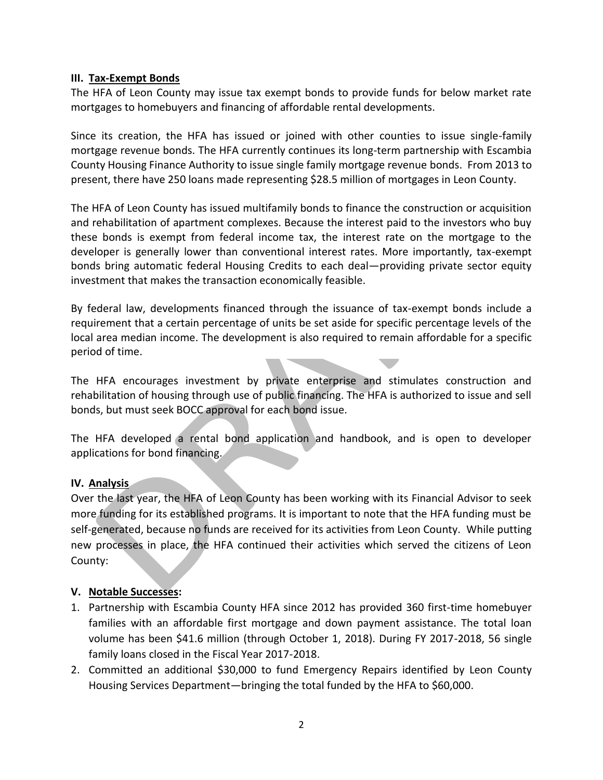#### **III. Tax-Exempt Bonds**

The HFA of Leon County may issue tax exempt bonds to provide funds for below market rate mortgages to homebuyers and financing of affordable rental developments.

Since its creation, the HFA has issued or joined with other counties to issue single-family mortgage revenue bonds. The HFA currently continues its long-term partnership with Escambia County Housing Finance Authority to issue single family mortgage revenue bonds. From 2013 to present, there have 250 loans made representing \$28.5 million of mortgages in Leon County.

The HFA of Leon County has issued multifamily bonds to finance the construction or acquisition and rehabilitation of apartment complexes. Because the interest paid to the investors who buy these bonds is exempt from federal income tax, the interest rate on the mortgage to the developer is generally lower than conventional interest rates. More importantly, tax-exempt bonds bring automatic federal Housing Credits to each deal—providing private sector equity investment that makes the transaction economically feasible.

By federal law, developments financed through the issuance of tax-exempt bonds include a requirement that a certain percentage of units be set aside for specific percentage levels of the local area median income. The development is also required to remain affordable for a specific period of time.  $\mathcal{L}(\mathcal{A})$ 

The HFA encourages investment by private enterprise and stimulates construction and rehabilitation of housing through use of public financing. The HFA is authorized to issue and sell bonds, but must seek BOCC approval for each bond issue.

The HFA developed a rental bond application and handbook, and is open to developer applications for bond financing.

### **IV. Analysis**

Over the last year, the HFA of Leon County has been working with its Financial Advisor to seek more funding for its established programs. It is important to note that the HFA funding must be self-generated, because no funds are received for its activities from Leon County. While putting new processes in place, the HFA continued their activities which served the citizens of Leon County:

#### **V. Notable Successes:**

- 1. Partnership with Escambia County HFA since 2012 has provided 360 first-time homebuyer families with an affordable first mortgage and down payment assistance. The total loan volume has been \$41.6 million (through October 1, 2018). During FY 2017-2018, 56 single family loans closed in the Fiscal Year 2017-2018.
- 2. Committed an additional \$30,000 to fund Emergency Repairs identified by Leon County Housing Services Department—bringing the total funded by the HFA to \$60,000.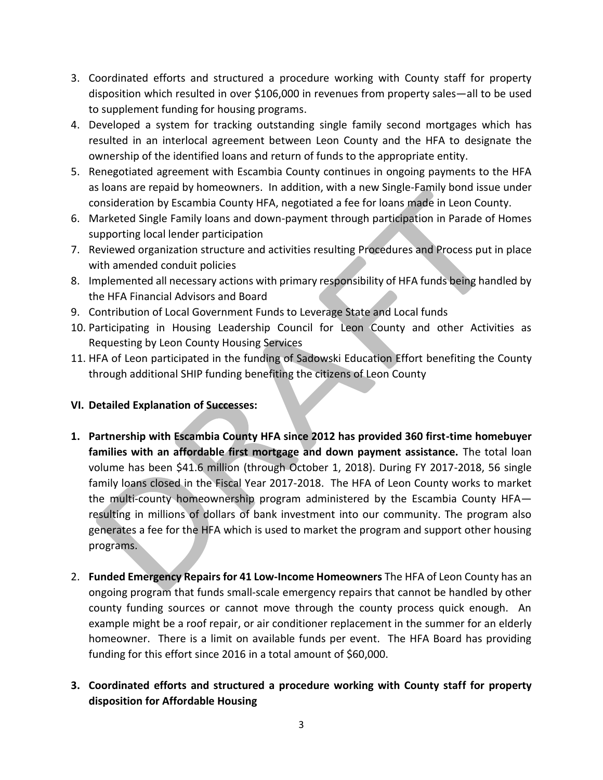- 3. Coordinated efforts and structured a procedure working with County staff for property disposition which resulted in over \$106,000 in revenues from property sales—all to be used to supplement funding for housing programs.
- 4. Developed a system for tracking outstanding single family second mortgages which has resulted in an interlocal agreement between Leon County and the HFA to designate the ownership of the identified loans and return of funds to the appropriate entity.
- 5. Renegotiated agreement with Escambia County continues in ongoing payments to the HFA as loans are repaid by homeowners. In addition, with a new Single-Family bond issue under consideration by Escambia County HFA, negotiated a fee for loans made in Leon County.
- 6. Marketed Single Family loans and down-payment through participation in Parade of Homes supporting local lender participation
- 7. Reviewed organization structure and activities resulting Procedures and Process put in place with amended conduit policies
- 8. Implemented all necessary actions with primary responsibility of HFA funds being handled by the HFA Financial Advisors and Board
- 9. Contribution of Local Government Funds to Leverage State and Local funds
- 10. Participating in Housing Leadership Council for Leon County and other Activities as Requesting by Leon County Housing Services
- 11. HFA of Leon participated in the funding of Sadowski Education Effort benefiting the County through additional SHIP funding benefiting the citizens of Leon County
- **VI. Detailed Explanation of Successes:**
- **1. Partnership with Escambia County HFA since 2012 has provided 360 first-time homebuyer families with an affordable first mortgage and down payment assistance.** The total loan volume has been \$41.6 million (through October 1, 2018). During FY 2017-2018, 56 single family loans closed in the Fiscal Year 2017-2018. The HFA of Leon County works to market the multi-county homeownership program administered by the Escambia County HFA resulting in millions of dollars of bank investment into our community. The program also generates a fee for the HFA which is used to market the program and support other housing programs.
- 2. **Funded Emergency Repairs for 41 Low-Income Homeowners** The HFA of Leon County has an ongoing program that funds small-scale emergency repairs that cannot be handled by other county funding sources or cannot move through the county process quick enough. An example might be a roof repair, or air conditioner replacement in the summer for an elderly homeowner. There is a limit on available funds per event. The HFA Board has providing funding for this effort since 2016 in a total amount of \$60,000.
- **3. Coordinated efforts and structured a procedure working with County staff for property disposition for Affordable Housing**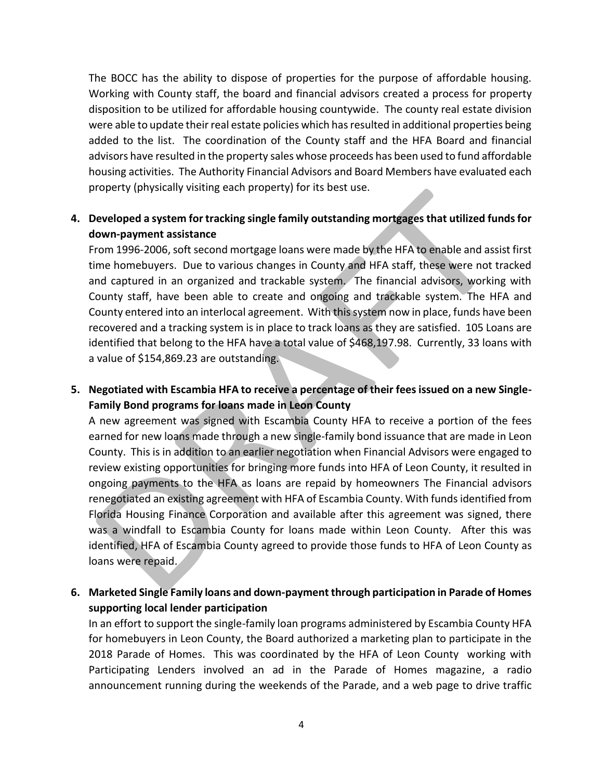The BOCC has the ability to dispose of properties for the purpose of affordable housing. Working with County staff, the board and financial advisors created a process for property disposition to be utilized for affordable housing countywide. The county real estate division were able to update their real estate policies which has resulted in additional properties being added to the list. The coordination of the County staff and the HFA Board and financial advisors have resulted in the property sales whose proceeds has been used to fund affordable housing activities. The Authority Financial Advisors and Board Members have evaluated each property (physically visiting each property) for its best use.

# **4. Developed a system for tracking single family outstanding mortgages that utilized funds for down-payment assistance**

From 1996-2006, soft second mortgage loans were made by the HFA to enable and assist first time homebuyers. Due to various changes in County and HFA staff, these were not tracked and captured in an organized and trackable system. The financial advisors, working with County staff, have been able to create and ongoing and trackable system. The HFA and County entered into an interlocal agreement. With this system now in place, funds have been recovered and a tracking system is in place to track loans as they are satisfied. 105 Loans are identified that belong to the HFA have a total value of \$468,197.98. Currently, 33 loans with a value of \$154,869.23 are outstanding.

# **5. Negotiated with Escambia HFA to receive a percentage of their fees issued on a new Single-Family Bond programs for loans made in Leon County**

A new agreement was signed with Escambia County HFA to receive a portion of the fees earned for new loans made through a new single-family bond issuance that are made in Leon County. This is in addition to an earlier negotiation when Financial Advisors were engaged to review existing opportunities for bringing more funds into HFA of Leon County, it resulted in ongoing payments to the HFA as loans are repaid by homeowners The Financial advisors renegotiated an existing agreement with HFA of Escambia County. With funds identified from Florida Housing Finance Corporation and available after this agreement was signed, there was a windfall to Escambia County for loans made within Leon County. After this was identified, HFA of Escambia County agreed to provide those funds to HFA of Leon County as loans were repaid.

# **6. Marketed Single Family loans and down-payment through participation in Parade of Homes supporting local lender participation**

In an effort to support the single-family loan programs administered by Escambia County HFA for homebuyers in Leon County, the Board authorized a marketing plan to participate in the 2018 Parade of Homes. This was coordinated by the HFA of Leon County working with Participating Lenders involved an ad in the Parade of Homes magazine, a radio announcement running during the weekends of the Parade, and a web page to drive traffic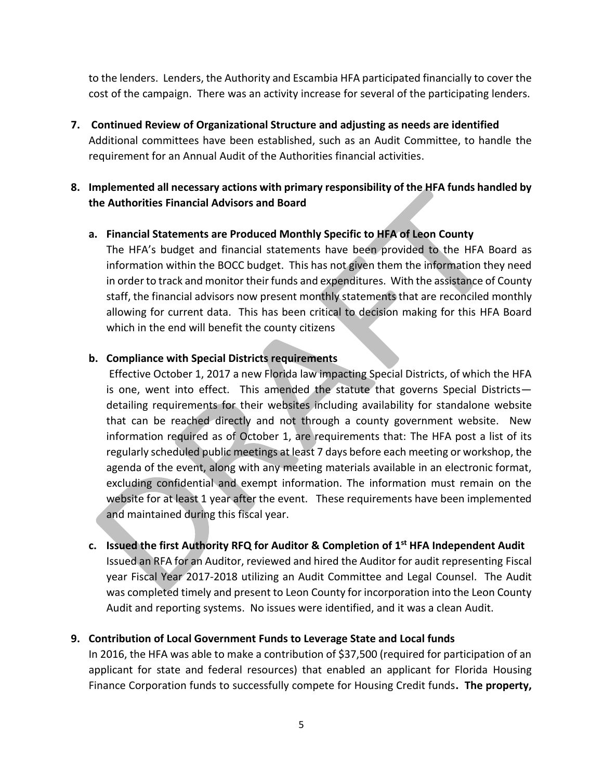to the lenders. Lenders, the Authority and Escambia HFA participated financially to cover the cost of the campaign. There was an activity increase for several of the participating lenders.

**7. Continued Review of Organizational Structure and adjusting as needs are identified** Additional committees have been established, such as an Audit Committee, to handle the requirement for an Annual Audit of the Authorities financial activities.

### **8. Implemented all necessary actions with primary responsibility of the HFA funds handled by the Authorities Financial Advisors and Board**

### **a. Financial Statements are Produced Monthly Specific to HFA of Leon County**

The HFA's budget and financial statements have been provided to the HFA Board as information within the BOCC budget. This has not given them the information they need in order to track and monitor their funds and expenditures. With the assistance of County staff, the financial advisors now present monthly statements that are reconciled monthly allowing for current data. This has been critical to decision making for this HFA Board which in the end will benefit the county citizens

### **b. Compliance with Special Districts requirements**

Effective October 1, 2017 a new Florida law impacting Special Districts, of which the HFA is one, went into effect. This amended the statute that governs Special Districts detailing requirements for their websites including availability for standalone website that can be reached directly and not through a county government website. New information required as of October 1, are requirements that: The HFA post a list of its regularly scheduled public meetings at least 7 days before each meeting or workshop, the agenda of the event, along with any meeting materials available in an electronic format, excluding confidential and exempt information. The information must remain on the website for at least 1 year after the event. These requirements have been implemented and maintained during this fiscal year.

**c. Issued the first Authority RFQ for Auditor & Completion of 1st HFA Independent Audit** Issued an RFA for an Auditor, reviewed and hired the Auditor for audit representing Fiscal year Fiscal Year 2017-2018 utilizing an Audit Committee and Legal Counsel. The Audit was completed timely and present to Leon County for incorporation into the Leon County Audit and reporting systems. No issues were identified, and it was a clean Audit.

### **9. Contribution of Local Government Funds to Leverage State and Local funds**

In 2016, the HFA was able to make a contribution of \$37,500 (required for participation of an applicant for state and federal resources) that enabled an applicant for Florida Housing Finance Corporation funds to successfully compete for Housing Credit funds**. The property,**